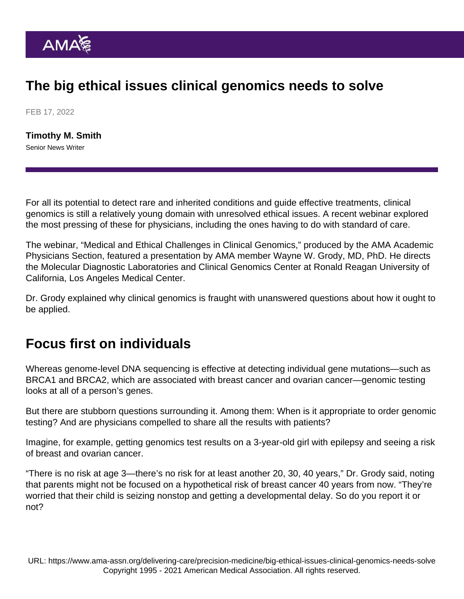## The big ethical issues clinical genomics needs to solve

FEB 17, 2022

[Timothy M. Smith](https://www.ama-assn.org/news-leadership-viewpoints/authors-news-leadership-viewpoints/timothy-m-smith) Senior News Writer

For all its potential to detect rare and inherited conditions and guide effective treatments, clinical genomics is still a relatively young domain with unresolved ethical issues. A recent webinar explored the most pressing of these for physicians, including the ones having to do with standard of care.

The webinar, "Medical and Ethical Challenges in Clinical Genomics," produced by the [AMA Academic](https://www.ama-assn.org/member-groups-sections/academic-physicians) [Physicians Section,](https://www.ama-assn.org/member-groups-sections/academic-physicians) featured a presentation by AMA member Wayne W. Grody, MD, PhD. He directs the Molecular Diagnostic Laboratories and Clinical Genomics Center at Ronald Reagan University of California, Los Angeles Medical Center.

Dr. Grody explained why clinical genomics is fraught with unanswered questions about how it ought to be applied.

## Focus first on individuals

Whereas genome-level DNA sequencing is effective at detecting individual gene mutations—such as BRCA1 and BRCA2, which are associated with breast cancer and ovarian cancer—genomic testing looks at all of a person's genes.

But there are stubborn questions surrounding it. Among them: When is it appropriate to order genomic testing? And are physicians compelled to share all the results with patients?

Imagine, for example, getting genomics test results on a 3-year-old girl with epilepsy and seeing a risk of breast and ovarian cancer.

"There is no risk at age 3—there's no risk for at least another 20, 30, 40 years," Dr. Grody said, noting that parents might not be focused on a hypothetical risk of breast cancer 40 years from now. "They're worried that their child is seizing nonstop and getting a developmental delay. So do you report it or not?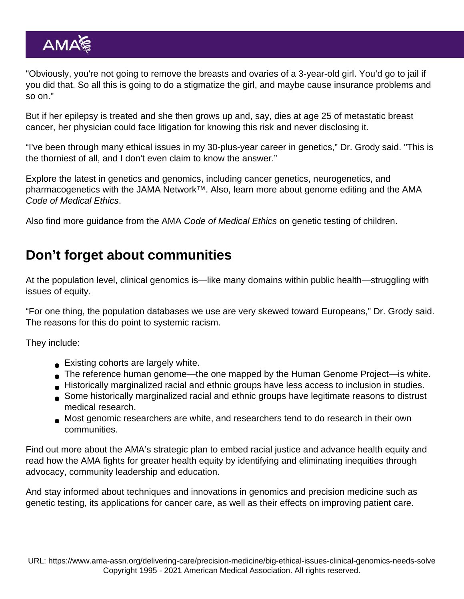"Obviously, you're not going to remove the breasts and ovaries of a 3-year-old girl. You'd go to jail if you did that. So all this is going to do a stigmatize the girl, and maybe cause insurance problems and so on."

But if her epilepsy is treated and she then grows up and, say, dies at age 25 of metastatic breast cancer, her physician could face litigation for knowing this risk and never disclosing it.

"I've been through many ethical issues in my 30-plus-year career in genetics," Dr. Grody said. "This is the thorniest of all, and I don't even claim to know the answer."

Explore the latest in [genetics and genomics](https://jamanetwork.com/collections/5664/genetics-and-genomics), including cancer genetics, neurogenetics, and pharmacogenetics with the [JAMA Network](https://jamanetwork.com/)<sup>™</sup>. Also, learn more about [genome editing and the AMA](https://www.ama-assn.org/delivering-care/ethics/genome-editing-and-ama-code-medical-ethics) [Code of Medical Ethics.](https://www.ama-assn.org/delivering-care/ethics/genome-editing-and-ama-code-medical-ethics)

Also find more guidance from the [AMA Code of Medical Ethics on genetic testing of children.](https://www.ama-assn.org/delivering-care/ethics/genetic-testing-children)

## Don't forget about communities

At the population level, clinical genomics is—like many domains within public health—struggling with issues of equity.

"For one thing, the population databases we use are very skewed toward Europeans," Dr. Grody said. The reasons for this do point to systemic racism.

They include:

- **Existing cohorts are largely white.**
- The reference human genome—the one mapped by the Human Genome Project—is white.
- Historically marginalized racial and ethnic groups have less access to inclusion in studies.
- Some historically marginalized racial and ethnic groups have legitimate reasons to distrust medical research.
- Most genomic researchers are white, and researchers tend to do research in their own communities.

Find out more about the [AMA's strategic plan to embed racial justice and advance health equity](https://www.ama-assn.org/about/leadership/ama-s-strategic-plan-embed-racial-justice-and-advance-health-equity) and read how the [AMA fights for greater health equity](https://www.ama-assn.org/delivering-care/health-equity) by identifying and eliminating inequities through advocacy, community leadership and education.

And stay informed about techniques and innovations in genomics and precision medicine such as genetic testing, its applications for cancer care, as well as their effects on improving patient care.